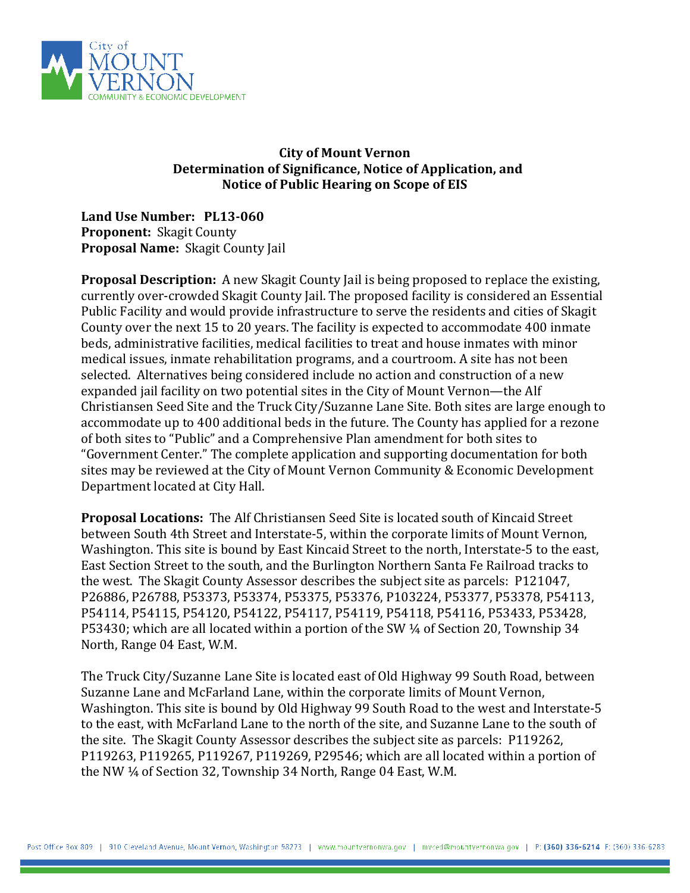

## **City of Mount Vernon Determination of Significance, Notice of Application, and Notice of Public Hearing on Scope of EIS**

**Land Use Number: PL13-060 Proponent:** Skagit County **Proposal Name:** Skagit County Jail

**Proposal Description:** A new Skagit County Jail is being proposed to replace the existing, currently over-crowded Skagit County Jail. The proposed facility is considered an Essential Public Facility and would provide infrastructure to serve the residents and cities of Skagit County over the next 15 to 20 years. The facility is expected to accommodate 400 inmate beds, administrative facilities, medical facilities to treat and house inmates with minor medical issues, inmate rehabilitation programs, and a courtroom. A site has not been selected. Alternatives being considered include no action and construction of a new expanded jail facility on two potential sites in the City of Mount Vernon—the Alf Christiansen Seed Site and the Truck City/Suzanne Lane Site. Both sites are large enough to accommodate up to 400 additional beds in the future. The County has applied for a rezone of both sites to "Public" and a Comprehensive Plan amendment for both sites to "Government Center." The complete application and supporting documentation for both sites may be reviewed at the City of Mount Vernon Community & Economic Development Department located at City Hall.

**Proposal Locations:** The Alf Christiansen Seed Site is located south of Kincaid Street between South 4th Street and Interstate-5, within the corporate limits of Mount Vernon, Washington. This site is bound by East Kincaid Street to the north, Interstate-5 to the east, East Section Street to the south, and the Burlington Northern Santa Fe Railroad tracks to the west. The Skagit County Assessor describes the subject site as parcels: P121047, P26886, P26788, P53373, P53374, P53375, P53376, P103224, P53377, P53378, P54113, P54114, P54115, P54120, P54122, P54117, P54119, P54118, P54116, P53433, P53428, P53430; which are all located within a portion of the SW ¼ of Section 20, Township 34 North, Range 04 East, W.M.

The Truck City/Suzanne Lane Site is located east of Old Highway 99 South Road, between Suzanne Lane and McFarland Lane, within the corporate limits of Mount Vernon, Washington. This site is bound by Old Highway 99 South Road to the west and Interstate-5 to the east, with McFarland Lane to the north of the site, and Suzanne Lane to the south of the site. The Skagit County Assessor describes the subject site as parcels: P119262, P119263, P119265, P119267, P119269, P29546; which are all located within a portion of the NW ¼ of Section 32, Township 34 North, Range 04 East, W.M.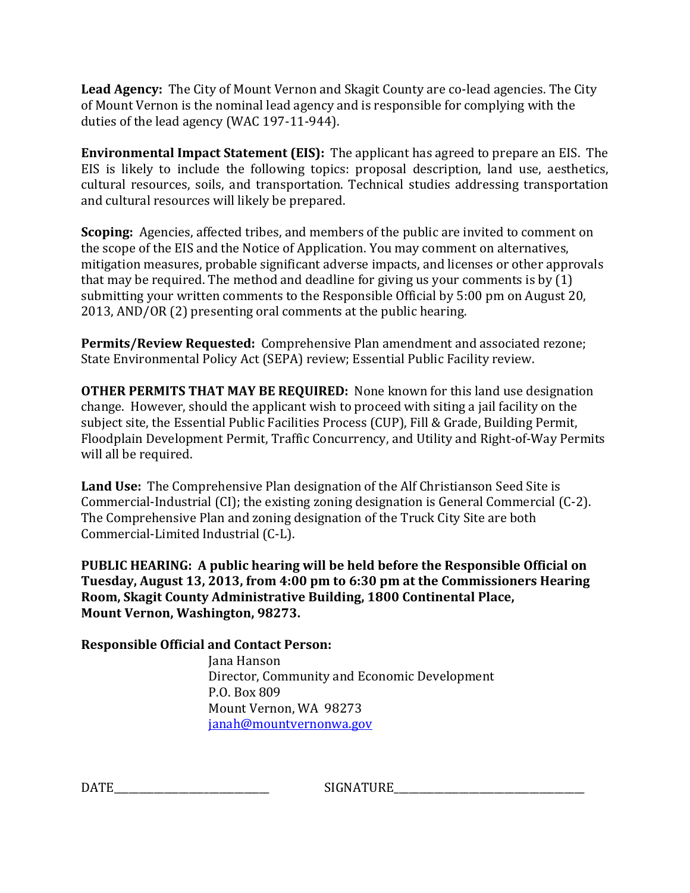**Lead Agency:** The City of Mount Vernon and Skagit County are co-lead agencies. The City of Mount Vernon is the nominal lead agency and is responsible for complying with the duties of the lead agency (WAC 197-11-944).

**Environmental Impact Statement (EIS):** The applicant has agreed to prepare an EIS. The EIS is likely to include the following topics: proposal description, land use, aesthetics, cultural resources, soils, and transportation. Technical studies addressing transportation and cultural resources will likely be prepared.

**Scoping:** Agencies, affected tribes, and members of the public are invited to comment on the scope of the EIS and the Notice of Application. You may comment on alternatives, mitigation measures, probable significant adverse impacts, and licenses or other approvals that may be required. The method and deadline for giving us your comments is by (1) submitting your written comments to the Responsible Official by 5:00 pm on August 20, 2013, AND/OR (2) presenting oral comments at the public hearing.

**Permits/Review Requested:** Comprehensive Plan amendment and associated rezone; State Environmental Policy Act (SEPA) review; Essential Public Facility review.

**OTHER PERMITS THAT MAY BE REQUIRED:** None known for this land use designation change. However, should the applicant wish to proceed with siting a jail facility on the subject site, the Essential Public Facilities Process (CUP), Fill & Grade, Building Permit, Floodplain Development Permit, Traffic Concurrency, and Utility and Right-of-Way Permits will all be required.

**Land Use:** The Comprehensive Plan designation of the Alf Christianson Seed Site is Commercial-Industrial (CI); the existing zoning designation is General Commercial (C-2). The Comprehensive Plan and zoning designation of the Truck City Site are both Commercial-Limited Industrial (C-L).

**PUBLIC HEARING: A public hearing will be held before the Responsible Official on Tuesday, August 13, 2013, from 4:00 pm to 6:30 pm at the Commissioners Hearing Room, Skagit County Administrative Building, 1800 Continental Place, Mount Vernon, Washington, 98273.**

**Responsible Official and Contact Person:**

 Jana Hanson Director, Community and Economic Development P.O. Box 809 Mount Vernon, WA 98273 [janah@mountvernonwa.gov](mailto:janah@mountvernonwa.gov)

DATE EXAMPLE EXAMPLE SIGNATURE